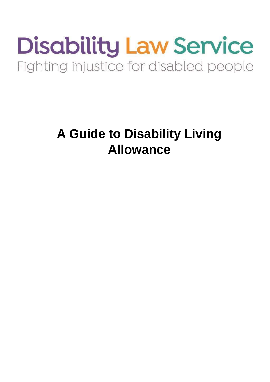# **Disability Law Service** Fighting injustice for disabled people

## **A Guide to Disability Living Allowance**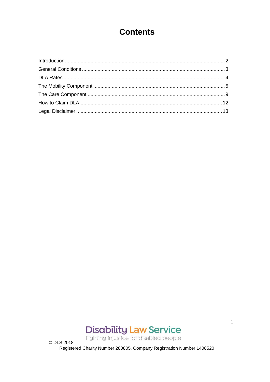## **Contents**



Fighting injustice for disabled people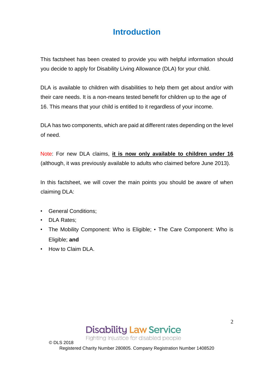## **Introduction**

<span id="page-2-0"></span>This factsheet has been created to provide you with helpful information should you decide to apply for Disability Living Allowance (DLA) for your child.

DLA is available to children with disabilities to help them get about and/or with their care needs. It is a non-means tested benefit for children up to the age of 16. This means that your child is entitled to it regardless of your income.

DLA has two components, which are paid at different rates depending on the level of need.

Note: For new DLA claims, **it is now only available to children under 16** (although, it was previously available to adults who claimed before June 2013).

In this factsheet, we will cover the main points you should be aware of when claiming DLA:

- General Conditions;
- DLA Rates;
- The Mobility Component: Who is Eligible; The Care Component: Who is Eligible; **and**
- How to Claim DLA.

© DLS 2018



Fighting injustice for disabled people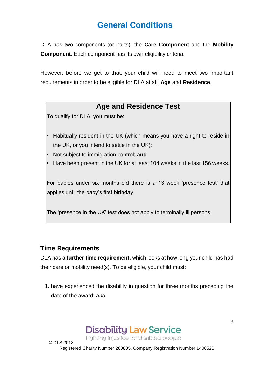## **General Conditions**

<span id="page-3-0"></span>DLA has two components (or parts): the **Care Component** and the **Mobility Component.** Each component has its own eligibility criteria.

However, before we get to that, your child will need to meet two important requirements in order to be eligible for DLA at all: **Age** and **Residence**.

#### **Age and Residence Test**

To qualify for DLA, you must be:

- Habitually resident in the UK (which means you have a right to reside in the UK, or you intend to settle in the UK);
- Not subject to immigration control; **and**
- Have been present in the UK for at least 104 weeks in the last 156 weeks.

For babies under six months old there is a 13 week 'presence test' that applies until the baby's first birthday.

The 'presence in the UK' test does not apply to terminally ill persons.

#### **Time Requirements**

DLA has **a further time requirement,** which looks at how long your child has had their care or mobility need(s). To be eligible, your child must:

**1.** have experienced the disability in question for three months preceding the date of the award; *and*



Fighting injustice for disabled people

© DLS 2018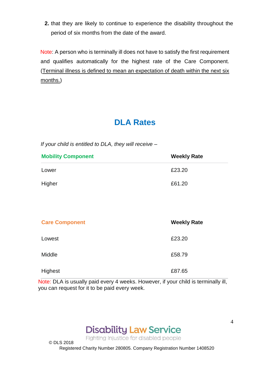**2.** that they are likely to continue to experience the disability throughout the period of six months from the date of the award.

Note: A person who is terminally ill does not have to satisfy the first requirement and qualifies automatically for the highest rate of the Care Component. (Terminal illness is defined to mean an expectation of death within the next six months.)

## **DLA Rates**

<span id="page-4-0"></span>*If your child is entitled to DLA, they will receive –*

| <b>Mobility Component</b> | <b>Weekly Rate</b> |
|---------------------------|--------------------|
| Lower                     | £23.20             |
| Higher                    | £61.20             |

| <b>Care Component</b> | <b>Weekly Rate</b> |
|-----------------------|--------------------|
| Lowest                | £23.20             |
| Middle                | £58.79             |
| Highest               | £87.65             |

Note: DLA is usually paid every 4 weeks. However, if your child is terminally ill, you can request for it to be paid every week.



Fighting injustice for disabled people

Registered Charity Number 280805. Company Registration Number 1408520

© DLS 2018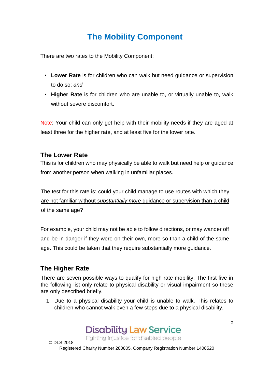## **The Mobility Component**

<span id="page-5-0"></span>There are two rates to the Mobility Component:

- **Lower Rate** is for children who can walk but need guidance or supervision to do so; *and*
- **Higher Rate** is for children who are unable to, or virtually unable to, walk without severe discomfort.

Note: Your child can only get help with their mobility needs if they are aged at least three for the higher rate, and at least five for the lower rate.

#### **The Lower Rate**

This is for children who may physically be able to walk but need help or guidance from another person when walking in unfamiliar places.

The test for this rate is: could your child manage to use routes with which they are not familiar without *substantially more* guidance or supervision than a child of the same age?

For example, your child may not be able to follow directions, or may wander off and be in danger if they were on their own, more so than a child of the same age. This could be taken that they require substantially more guidance.

#### **The Higher Rate**

There are seven possible ways to qualify for high rate mobility. The first five in the following list only relate to physical disability or visual impairment so these are only described briefly.

1. Due to a physical disability your child is unable to walk. This relates to children who cannot walk even a few steps due to a physical disability.

**Disability Law Service** 

Fighting injustice for disabled people

© DLS 2018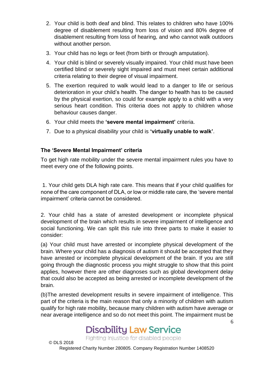- 2. Your child is both deaf and blind. This relates to children who have 100% degree of disablement resulting from loss of vision and 80% degree of disablement resulting from loss of hearing, and who cannot walk outdoors without another person.
- 3. Your child has no legs or feet (from birth or through amputation).
- 4. Your child is blind or severely visually impaired. Your child must have been certified blind or severely sight impaired and must meet certain additional criteria relating to their degree of visual impairment.
- 5. The exertion required to walk would lead to a danger to life or serious deterioration in your child's health. The danger to health has to be caused by the physical exertion, so could for example apply to a child with a very serious heart condition. This criteria does not apply to children whose behaviour causes danger.
- 6. Your child meets the **'severe mental impairment'** criteria.
- 7. Due to a physical disability your child is **'virtually unable to walk'**.

#### **The 'Severe Mental Impairment' criteria**

To get high rate mobility under the severe mental impairment rules you have to meet every one of the following points.

1. Your child gets DLA high rate care. This means that if your child qualifies for none of the care component of DLA, or low or middle rate care, the 'severe mental impairment' criteria cannot be considered.

2. Your child has a state of arrested development or incomplete physical development of the brain which results in severe impairment of intelligence and social functioning. We can split this rule into three parts to make it easier to consider:

(a) Your child must have arrested or incomplete physical development of the brain. Where your child has a diagnosis of autism it should be accepted that they have arrested or incomplete physical development of the brain. If you are still going through the diagnostic process you might struggle to show that this point applies, however there are other diagnoses such as global development delay that could also be accepted as being arrested or incomplete development of the brain.

(b)The arrested development results in severe impairment of intelligence. This part of the criteria is the main reason that only a minority of children with autism qualify for high rate mobility, because many children with autism have average or near average intelligence and so do not meet this point. The impairment must be

6

## **Disability Law Service**

Fighting injustice for disabled people

© DLS 2018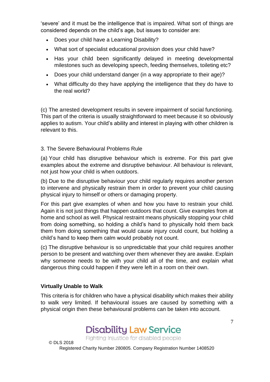'severe' and it must be the intelligence that is impaired. What sort of things are considered depends on the child's age, but issues to consider are:

- Does your child have a Learning Disability?
- What sort of specialist educational provision does your child have?
- Has your child been significantly delayed in meeting developmental milestones such as developing speech, feeding themselves, toileting etc?
- Does your child understand danger (in a way appropriate to their age)?
- What difficulty do they have applying the intelligence that they do have to the real world?

(c) The arrested development results in severe impairment of social functioning. This part of the criteria is usually straightforward to meet because it so obviously applies to autism. Your child's ability and interest in playing with other children is relevant to this.

#### 3. The Severe Behavioural Problems Rule

(a) Your child has disruptive behaviour which is extreme. For this part give examples about the extreme and disruptive behaviour. All behaviour is relevant, not just how your child is when outdoors.

(b) Due to the disruptive behaviour your child regularly requires another person to intervene and physically restrain them in order to prevent your child causing physical injury to himself or others or damaging property.

For this part give examples of when and how you have to restrain your child. Again it is not just things that happen outdoors that count. Give examples from at home and school as well. Physical restraint means physically stopping your child from doing something, so holding a child's hand to physically hold them back them from doing something that would cause injury could count, but holding a child's hand to keep them calm would probably not count.

(c) The disruptive behaviour is so unpredictable that your child requires another person to be present and watching over them whenever they are awake. Explain why someone needs to be with your child all of the time, and explain what dangerous thing could happen if they were left in a room on their own.

#### **Virtually Unable to Walk**

This criteria is for children who have a physical disability which makes their ability to walk very limited. If behavioural issues are caused by something with a physical origin then these behavioural problems can be taken into account.

**Disability Law Service** 

Fighting injustice for disabled people

© DLS 2018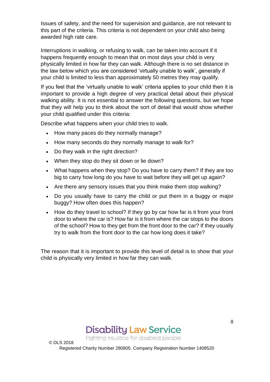Issues of safety, and the need for supervision and guidance, are not relevant to this part of the criteria. This criteria is not dependent on your child also being awarded high rate care.

Interruptions in walking, or refusing to walk, can be taken into account if it happens frequently enough to mean that on most days your child is very physically limited in how far they can walk. Although there is no set distance in the law below which you are considered 'virtually unable to walk', generally if your child is limited to less than approximately 50 metres they may qualify.

If you feel that the 'virtually unable to walk' criteria applies to your child then it is important to provide a high degree of very practical detail about their physical walking ability. It is not essential to answer the following questions, but we hope that they will help you to think about the sort of detail that would show whether your child qualified under this criteria:

Describe what happens when your child tries to walk.

- How many paces do they normally manage?
- How many seconds do they normally manage to walk for?
- Do they walk in the right direction?

© DLS 2018

- When they stop do they sit down or lie down?
- What happens when they stop? Do you have to carry them? If they are too big to carry how long do you have to wait before they will get up again?
- Are there any sensory issues that you think make them stop walking?
- Do you usually have to carry the child or put them in a buggy or major buggy? How often does this happen?
- How do they travel to school? If they go by car how far is it from your front door to where the car is? How far is it from where the car stops to the doors of the school? How to they get from the front door to the car? If they usually try to walk from the front door to the car how long does it take?

The reason that it is important to provide this level of detail is to show that your child is physically very limited in how far they can walk.



Fighting injustice for disabled people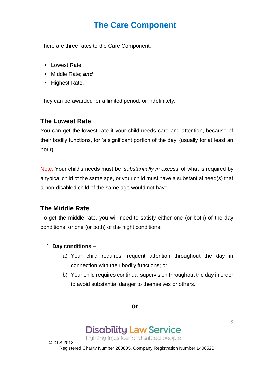## **The Care Component**

<span id="page-9-0"></span>There are three rates to the Care Component:

- Lowest Rate;
- Middle Rate; *and*
- Highest Rate.

They can be awarded for a limited period, or indefinitely.

#### **The Lowest Rate**

You can get the lowest rate if your child needs care and attention, because of their bodily functions, for 'a significant portion of the day' (usually for at least an hour).

Note: Your child's needs must be '*substantially in exces*s' of what is required by a typical child of the same age, or your child must have a substantial need(s) that a non-disabled child of the same age would not have.

#### **The Middle Rate**

To get the middle rate, you will need to satisfy either one (or both) of the day conditions, or one (or both) of the night conditions:

#### 1. **Day conditions –**

- a) Your child requires frequent attention throughout the day in connection with their bodily functions; or
- b) Your child requires continual supervision throughout the day in order to avoid substantial danger to themselves or others.

**or** 

## **Disability Law Service**

Fighting injustice for disabled people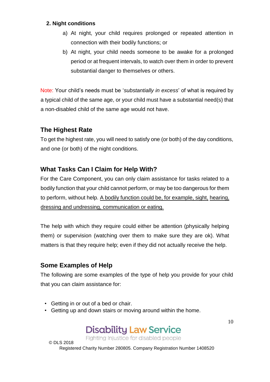#### **2. Night conditions**

- a) At night, your child requires prolonged or repeated attention in connection with their bodily functions; or
- b) At night, your child needs someone to be awake for a prolonged period or at frequent intervals, to watch over them in order to prevent substantial danger to themselves or others.

Note: Your child's needs must be '*substantially in excess*' of what is required by a typical child of the same age, or your child must have a substantial need(s) that a non-disabled child of the same age would not have.

#### **The Highest Rate**

To get the highest rate, you will need to satisfy one (or both) of the day conditions, and one (or both) of the night conditions.

#### **What Tasks Can I Claim for Help With?**

For the Care Component, you can only claim assistance for tasks related to a bodily function that your child cannot perform, or may be too dangerous for them to perform, without help. A bodily function could be, for example, sight, hearing, dressing and undressing, communication or eating.

The help with which they require could either be attention (physically helping them) or supervision (watching over them to make sure they are ok). What matters is that they require help; even if they did not actually receive the help.

#### **Some Examples of Help**

The following are some examples of the type of help you provide for your child that you can claim assistance for:

- Getting in or out of a bed or chair.
- Getting up and down stairs or moving around within the home.

**Disability Law Service** 

Fighting injustice for disabled people

© DLS 2018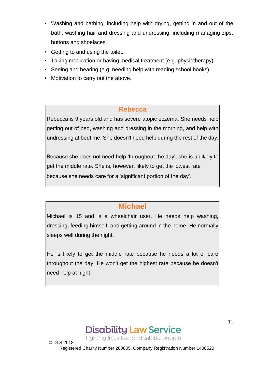- Washing and bathing, including help with drying, getting in and out of the bath, washing hair and dressing and undressing, including managing zips, buttons and shoelaces.
- Getting to and using the toilet.
- Taking medication or having medical treatment (e.g. physiotherapy).
- Seeing and hearing (e.g. needing help with reading school books).
- Motivation to carry out the above.

#### **Rebecca**

Rebecca is 9 years old and has severe atopic eczema. She needs help getting out of bed, washing and dressing in the morning, and help with undressing at bedtime. She doesn't need help during the rest of the day.

Because she does not need help 'throughout the day', she is unlikely to get the middle rate. She is, however, likely to get the lowest rate because she needs care for a 'significant portion of the day'.

#### **Michael**

Michael is 15 and is a wheelchair user. He needs help washing, dressing, feeding himself, and getting around in the home. He normally sleeps well during the night.

He is likely to get the middle rate because he needs a lot of care throughout the day. He won't get the highest rate because he doesn't need help at night.



Fighting injustice for disabled people

© DLS 2018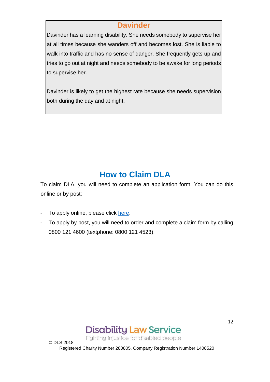#### **Davinder**

Davinder has a learning disability. She needs somebody to supervise her at all times because she wanders off and becomes lost. She is liable to walk into traffic and has no sense of danger. She frequently gets up and tries to go out at night and needs somebody to be awake for long periods to supervise her.

Davinder is likely to get the highest rate because she needs supervision both during the day and at night.

## **How to Claim DLA**

<span id="page-12-0"></span>To claim DLA, you will need to complete an application form. You can do this online or by post:

- To apply online, please click [here.](https://www.gov.uk/government/publications/disability-living-allowance-for-children-claim-form)
- To apply by post, you will need to order and complete a claim form by calling 0800 121 4600 (textphone: 0800 121 4523).